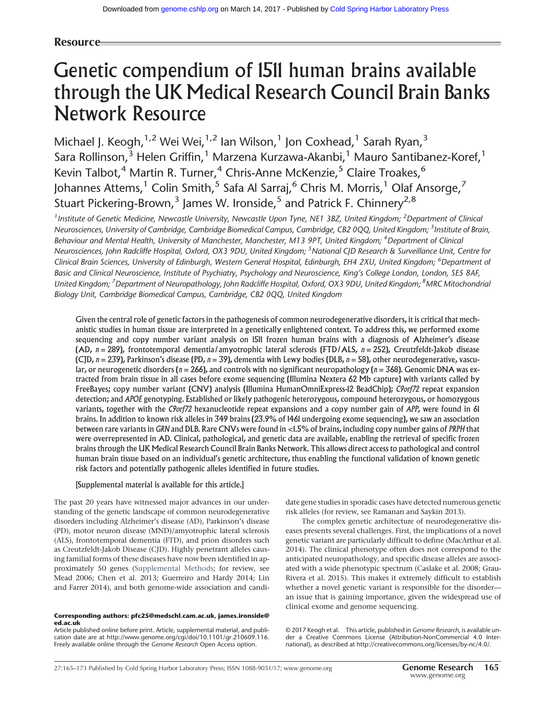# Resource

# Genetic compendium of 1511 human brains available through the UK Medical Research Council Brain Banks Network Resource

Michael J. Keogh,<sup>1,2</sup> Wei Wei,<sup>1,2</sup> Ian Wilson,<sup>1</sup> Jon Coxhead,<sup>1</sup> Sarah Ryan,<sup>3</sup> Sara Rollinson,<sup>3</sup> Helen Griffin,<sup>1</sup> Marzena Kurzawa-Akanbi,<sup>1</sup> Mauro Santibanez-Koref,<sup>1</sup> Kevin Talbot,<sup>4</sup> Martin R. Turner,<sup>4</sup> Chris-Anne McKenzie,<sup>5</sup> Claire Troakes,<sup>6</sup> Johannes Attems,<sup>1</sup> Colin Smith,<sup>5</sup> Safa Al Sarraj,<sup>6</sup> Chris M. Morris,<sup>1</sup> Olaf Ansorge,<sup>7</sup> Stuart Pickering-Brown,<sup>3</sup> James W. Ironside,<sup>5</sup> and Patrick F. Chinnery<sup>2,8</sup>

<sup>1</sup> Institute of Genetic Medicine, Newcastle University, Newcastle Upon Tyne, NE1 3BZ, United Kingdom; <sup>2</sup>Department of Clinical Neurosciences, University of Cambridge, Cambridge Biomedical Campus, Cambridge, CB2 0QQ, United Kingdom; <sup>3</sup>Institute of Brain, Behaviour and Mental Health, University of Manchester, Manchester, M13 9PT, United Kingdom; <sup>4</sup>Department of Clinical Neurosciences, John Radcliffe Hospital, Oxford, OX3 9DU, United Kingdom; <sup>5</sup>National CJD Research & Surveillance Unit, Centre for Clinical Brain Sciences, University of Edinburgh, Western General Hospital, Edinburgh, EH4 2XU, United Kingdom; <sup>6</sup>Department of Basic and Clinical Neuroscience, Institute of Psychiatry, Psychology and Neuroscience, King's College London, London, SE5 8AF, United Kingdom; <sup>7</sup> Department of Neuropathology, John Radcliffe Hospital, Oxford, OX3 9DU, United Kingdom; <sup>8</sup>MRC Mitochondrial Biology Unit, Cambridge Biomedical Campus, Cambridge, CB2 0QQ, United Kingdom

Given the central role of genetic factors in the pathogenesis of common neurodegenerative disorders, it is critical that mechanistic studies in human tissue are interpreted in a genetically enlightened context. To address this, we performed exome sequencing and copy number variant analysis on 1511 frozen human brains with a diagnosis of Alzheimer's disease (AD,  $n = 289$ ), frontotemporal dementia/amyotrophic lateral sclerosis (FTD/ALS,  $n = 252$ ), Creutzfeldt-Jakob disease (CJD,  $n = 239$ ), Parkinson's disease (PD,  $n = 39$ ), dementia with Lewy bodies (DLB,  $n = 58$ ), other neurodegenerative, vascular, or neurogenetic disorders ( $n = 266$ ), and controls with no significant neuropathology ( $n = 368$ ). Genomic DNA was extracted from brain tissue in all cases before exome sequencing (Illumina Nextera 62 Mb capture) with variants called by FreeBayes; copy number variant (CNV) analysis (Illumina HumanOmniExpress-12 BeadChip); C9orf72 repeat expansion detection; and APOE genotyping. Established or likely pathogenic heterozygous, compound heterozygous, or homozygous variants, together with the C9orf72 hexanucleotide repeat expansions and a copy number gain of APP, were found in 61 brains. In addition to known risk alleles in 349 brains (23.9% of 1461 undergoing exome sequencing), we saw an association between rare variants in GRN and DLB. Rare CNVs were found in <1.5% of brains, including copy number gains of PRPH that were overrepresented in AD. Clinical, pathological, and genetic data are available, enabling the retrieval of specific frozen brains through the UK Medical Research Council Brain Banks Network. This allows direct access to pathological and control human brain tissue based on an individual's genetic architecture, thus enabling the functional validation of known genetic risk factors and potentially pathogenic alleles identified in future studies.

# [Supplemental material is available for this article.]

The past 20 years have witnessed major advances in our understanding of the genetic landscape of common neurodegenerative disorders including Alzheimer's disease (AD), Parkinson's disease (PD), motor neuron disease (MND)/amyotrophic lateral sclerosis (ALS), frontotemporal dementia (FTD), and prion disorders such as Creutzfeldt-Jakob Disease (CJD). Highly penetrant alleles causing familial forms of these diseases have now been identified in approximately 50 genes [\(Supplemental Methods;](http://genome.cshlp.org/lookup/suppl/doi:10.1101/gr.210609.116/-/DC1) for review, see Mead 2006; Chen et al. 2013; Guerreiro and Hardy 2014; Lin and Farrer 2014), and both genome-wide association and candi-

#### Corresponding authors: [pfc25@medschl.cam.ac.uk,](mailto:pfc25@medschl.cam.ac.uk) [james.ironside@](mailto:james.ironside@ed.ac.uk) [ed.ac.uk](mailto:james.ironside@ed.ac.uk)

Article published online before print. Article, supplemental material, and publication date are at [http://www.genome.org/cgi/doi/10.1101/gr.210609.116.](http://www.genome.org/cgi/doi/10.1101/gr.210609.116) Freely available online through the Genome Research Open Access option.

date gene studies in sporadic cases have detected numerous genetic risk alleles (for review, see Ramanan and Saykin 2013).

The complex genetic architecture of neurodegenerative diseases presents several challenges. First, the implications of a novel genetic variant are particularly difficult to define (MacArthur et al. 2014). The clinical phenotype often does not correspond to the anticipated neuropathology, and specific disease alleles are associated with a wide phenotypic spectrum (Caslake et al. 2008; Grau-Rivera et al. 2015). This makes it extremely difficult to establish whether a novel genetic variant is responsible for the disorder an issue that is gaining importance, given the widespread use of clinical exome and genome sequencing.

[© 2017 Keogh et al.](http://genome.cshlp.org/site/misc/terms.xhtml) This article, published in Genome Research, is available under a Creative Commons License (Attribution-NonCommercial 4.0 International), as described at<http://creativecommons.org/licenses/by-nc/4.0/>.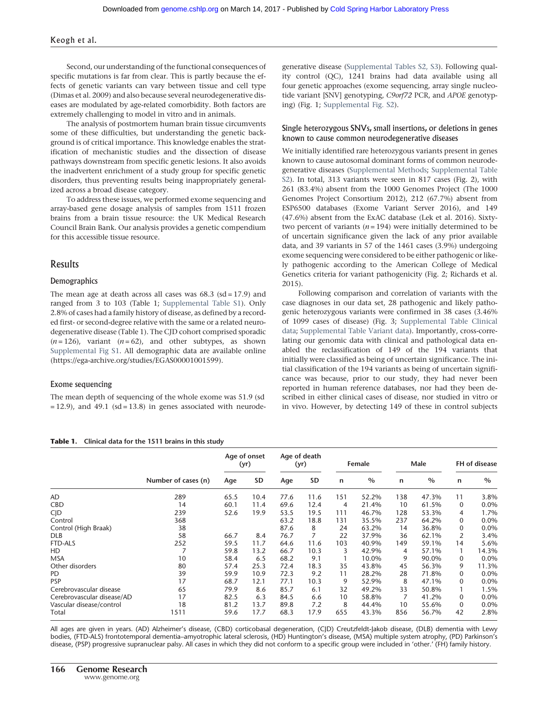#### Keogh et al.

Second, our understanding of the functional consequences of specific mutations is far from clear. This is partly because the effects of genetic variants can vary between tissue and cell type (Dimas et al. 2009) and also because several neurodegenerative diseases are modulated by age-related comorbidity. Both factors are extremely challenging to model in vitro and in animals.

The analysis of postmortem human brain tissue circumvents some of these difficulties, but understanding the genetic background is of critical importance. This knowledge enables the stratification of mechanistic studies and the dissection of disease pathways downstream from specific genetic lesions. It also avoids the inadvertent enrichment of a study group for specific genetic disorders, thus preventing results being inappropriately generalized across a broad disease category.

To address these issues, we performed exome sequencing and array-based gene dosage analysis of samples from 1511 frozen brains from a brain tissue resource: the UK Medical Research Council Brain Bank. Our analysis provides a genetic compendium for this accessible tissue resource.

#### Results

#### Demographics

The mean age at death across all cases was  $68.3$  (sd = 17.9) and ranged from 3 to 103 (Table 1; [Supplemental Table S1\)](http://genome.cshlp.org/lookup/suppl/doi:10.1101/gr.210609.116/-/DC1). Only 2.8% of cases had a family history of disease, as defined by a recorded first- or second-degree relative with the same or a related neurodegenerative disease (Table 1). The CJD cohort comprised sporadic  $(n = 126)$ , variant  $(n = 62)$ , and other subtypes, as shown [Supplemental Fig S1](http://genome.cshlp.org/lookup/suppl/doi:10.1101/gr.210609.116/-/DC1). All demographic data are available online ([https://ega-archive.org/studies/EGAS00001001599\)](https://ega-archive.org/studies/EGAS00001001599).

#### Exome sequencing

The mean depth of sequencing of the whole exome was 51.9 (sd  $= 12.9$ ), and 49.1 (sd  $= 13.8$ ) in genes associated with neurodegenerative disease ([Supplemental Tables S2, S3](http://genome.cshlp.org/lookup/suppl/doi:10.1101/gr.210609.116/-/DC1)). Following quality control (QC), 1241 brains had data available using all four genetic approaches (exome sequencing, array single nucleotide variant [SNV] genotyping, C9orf72 PCR, and APOE genotyping) (Fig. 1; [Supplemental Fig. S2](http://genome.cshlp.org/lookup/suppl/doi:10.1101/gr.210609.116/-/DC1)).

#### Single heterozygous SNVs, small insertions, or deletions in genes known to cause common neurodegenerative diseases

We initially identified rare heterozygous variants present in genes known to cause autosomal dominant forms of common neurodegenerative diseases ([Supplemental Methods;](http://genome.cshlp.org/lookup/suppl/doi:10.1101/gr.210609.116/-/DC1) [Supplemental Table](http://genome.cshlp.org/lookup/suppl/doi:10.1101/gr.210609.116/-/DC1) [S2\)](http://genome.cshlp.org/lookup/suppl/doi:10.1101/gr.210609.116/-/DC1). In total, 313 variants were seen in 817 cases (Fig. 2), with 261 (83.4%) absent from the 1000 Genomes Project (The 1000 Genomes Project Consortium 2012), 212 (67.7%) absent from ESP6500 databases (Exome Variant Server 2016), and 149 (47.6%) absent from the ExAC database (Lek et al. 2016). Sixtytwo percent of variants  $(n = 194)$  were initially determined to be of uncertain significance given the lack of any prior available data, and 39 variants in 57 of the 1461 cases (3.9%) undergoing exome sequencing were considered to be either pathogenic or likely pathogenic according to the American College of Medical Genetics criteria for variant pathogenicity (Fig. 2; Richards et al. 2015).

Following comparison and correlation of variants with the case diagnoses in our data set, 28 pathogenic and likely pathogenic heterozygous variants were confirmed in 38 cases (3.46% of 1099 cases of disease) (Fig. 3; [Supplemental Table Clinical](http://genome.cshlp.org/lookup/suppl/doi:10.1101/gr.210609.116/-/DC1) [data;](http://genome.cshlp.org/lookup/suppl/doi:10.1101/gr.210609.116/-/DC1) [Supplemental Table Variant data\)](http://genome.cshlp.org/lookup/suppl/doi:10.1101/gr.210609.116/-/DC1). Importantly, cross-correlating our genomic data with clinical and pathological data enabled the reclassification of 149 of the 194 variants that initially were classified as being of uncertain significance. The initial classification of the 194 variants as being of uncertain significance was because, prior to our study, they had never been reported in human reference databases, nor had they been described in either clinical cases of disease, nor studied in vitro or in vivo. However, by detecting 149 of these in control subjects

| Table 1. Clinical data for the 1511 brains in this study |  |
|----------------------------------------------------------|--|
|                                                          |  |

|                            | Number of cases (n) | Age of onset<br>(yr) |           | Age of death<br>(yr) |           | Female |               | Male |               | FH of disease |       |
|----------------------------|---------------------|----------------------|-----------|----------------------|-----------|--------|---------------|------|---------------|---------------|-------|
|                            |                     | Age                  | <b>SD</b> | Age                  | <b>SD</b> | n      | $\frac{0}{0}$ | n    | $\frac{0}{0}$ | n             | $\%$  |
| AD                         | 289                 | 65.5                 | 10.4      | 77.6                 | 11.6      | 151    | 52.2%         | 138  | 47.3%         | 11            | 3.8%  |
| <b>CBD</b>                 | 14                  | 60.1                 | 11.4      | 69.6                 | 12.4      | 4      | 21.4%         | 10   | 61.5%         | $\mathbf 0$   | 0.0%  |
| C/D                        | 239                 | 52.6                 | 19.9      | 53.5                 | 19.5      | 111    | 46.7%         | 128  | 53.3%         | 4             | 1.7%  |
| Control                    | 368                 |                      |           | 63.2                 | 18.8      | 131    | 35.5%         | 237  | 64.2%         | 0             | 0.0%  |
| Control (High Braak)       | 38                  |                      |           | 87.6                 | 8         | 24     | 63.2%         | 14   | 36.8%         | 0             | 0.0%  |
| <b>DLB</b>                 | 58                  | 66.7                 | 8.4       | 76.7                 | 7         | 22     | 37.9%         | 36   | 62.1%         | 2             | 3.4%  |
| FTD-ALS                    | 252                 | 59.5                 | 11.7      | 64.6                 | 11.6      | 103    | 40.9%         | 149  | 59.1%         | 14            | 5.6%  |
| HD                         |                     | 59.8                 | 13.2      | 66.7                 | 10.3      | 3      | 42.9%         | 4    | 57.1%         |               | 14.3% |
| <b>MSA</b>                 | 10                  | 58.4                 | 6.5       | 68.2                 | 9.1       |        | 10.0%         | 9    | 90.0%         | $\Omega$      | 0.0%  |
| Other disorders            | 80                  | 57.4                 | 25.3      | 72.4                 | 18.3      | 35     | 43.8%         | 45   | 56.3%         | 9             | 11.3% |
| PD                         | 39                  | 59.9                 | 10.9      | 72.3                 | 9.2       | 11     | 28.2%         | 28   | 71.8%         | 0             | 0.0%  |
| <b>PSP</b>                 | 17                  | 68.7                 | 12.1      | 77.1                 | 10.3      | 9      | 52.9%         | 8    | 47.1%         | 0             | 0.0%  |
| Cerebrovascular disease    | 65                  | 79.9                 | 8.6       | 85.7                 | 6.1       | 32     | 49.2%         | 33   | 50.8%         |               | 1.5%  |
| Cerebrovascular disease/AD | 17                  | 82.5                 | 6.3       | 84.5                 | 6.6       | 10     | 58.8%         | 7    | 41.2%         | 0             | 0.0%  |
| Vascular disease/control   | 18                  | 81.2                 | 13.7      | 89.8                 | 7.2       | 8      | 44.4%         | 10   | 55.6%         | 0             | 0.0%  |
| Total                      | 1511                | 59.6                 | 17.7      | 68.3                 | 17.9      | 655    | 43.3%         | 856  | 56.7%         | 42            | 2.8%  |

All ages are given in years. (AD) Alzheimer's disease, (CBD) corticobasal degeneration, (CJD) Creutzfeldt-Jakob disease, (DLB) dementia with Lewy bodies, (FTD-ALS) frontotemporal dementia–amyotrophic lateral sclerosis, (HD) Huntington's disease, (MSA) multiple system atrophy, (PD) Parkinson's disease, (PSP) progressive supranuclear palsy. All cases in which they did not conform to a specific group were included in 'other.' (FH) family history.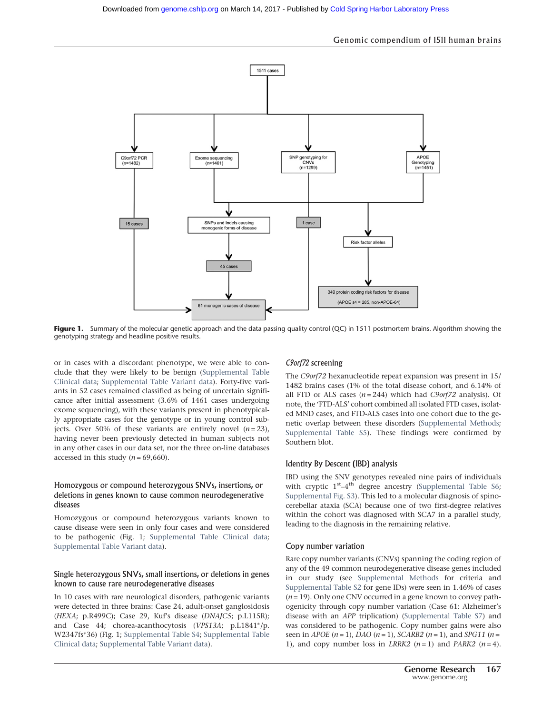#### Genomic compendium of 1511 human brains



Figure 1. Summary of the molecular genetic approach and the data passing quality control (QC) in 1511 postmortem brains. Algorithm showing the genotyping strategy and headline positive results.

or in cases with a discordant phenotype, we were able to conclude that they were likely to be benign ([Supplemental Table](http://genome.cshlp.org/lookup/suppl/doi:10.1101/gr.210609.116/-/DC1) [Clinical data](http://genome.cshlp.org/lookup/suppl/doi:10.1101/gr.210609.116/-/DC1); [Supplemental Table Variant data](http://genome.cshlp.org/lookup/suppl/doi:10.1101/gr.210609.116/-/DC1)). Forty-five variants in 52 cases remained classified as being of uncertain significance after initial assessment (3.6% of 1461 cases undergoing exome sequencing), with these variants present in phenotypically appropriate cases for the genotype or in young control subjects. Over 50% of these variants are entirely novel  $(n=23)$ , having never been previously detected in human subjects not in any other cases in our data set, nor the three on-line databases accessed in this study  $(n = 69,660)$ .

#### Homozygous or compound heterozygous SNVs, insertions, or deletions in genes known to cause common neurodegenerative diseases

Homozygous or compound heterozygous variants known to cause disease were seen in only four cases and were considered to be pathogenic (Fig. 1; [Supplemental Table Clinical data;](http://genome.cshlp.org/lookup/suppl/doi:10.1101/gr.210609.116/-/DC1) [Supplemental Table Variant data\)](http://genome.cshlp.org/lookup/suppl/doi:10.1101/gr.210609.116/-/DC1).

#### Single heterozygous SNVs, small insertions, or deletions in genes known to cause rare neurodegenerative diseases

In 10 cases with rare neurological disorders, pathogenic variants were detected in three brains: Case 24, adult-onset ganglosidosis (HEXA; p.R499C); Case 29, Kuf's disease (DNAJC5; p.L115R); and Case 44; chorea-acanthocytosis (VPS13A; p.L1841∗/p. W2347fs∗36) (Fig. 1; [Supplemental Table S4](http://genome.cshlp.org/lookup/suppl/doi:10.1101/gr.210609.116/-/DC1); [Supplemental Table](http://genome.cshlp.org/lookup/suppl/doi:10.1101/gr.210609.116/-/DC1) [Clinical data](http://genome.cshlp.org/lookup/suppl/doi:10.1101/gr.210609.116/-/DC1); [Supplemental Table Variant data\)](http://genome.cshlp.org/lookup/suppl/doi:10.1101/gr.210609.116/-/DC1).

# C9orf72 screening

The C9orf72 hexanucleotide repeat expansion was present in 15/ 1482 brains cases (1% of the total disease cohort, and 6.14% of all FTD or ALS cases  $(n = 244)$  which had C9orf72 analysis). Of note, the 'FTD-ALS' cohort combined all isolated FTD cases, isolated MND cases, and FTD-ALS cases into one cohort due to the genetic overlap between these disorders ([Supplemental Methods;](http://genome.cshlp.org/lookup/suppl/doi:10.1101/gr.210609.116/-/DC1) [Supplemental Table S5](http://genome.cshlp.org/lookup/suppl/doi:10.1101/gr.210609.116/-/DC1)). These findings were confirmed by Southern blot.

# Identity By Descent (IBD) analysis

IBD using the SNV genotypes revealed nine pairs of individuals with cryptic 1<sup>st</sup>-4<sup>th</sup> degree ancestry ([Supplemental Table S6;](http://genome.cshlp.org/lookup/suppl/doi:10.1101/gr.210609.116/-/DC1) [Supplemental Fig. S3\)](http://genome.cshlp.org/lookup/suppl/doi:10.1101/gr.210609.116/-/DC1). This led to a molecular diagnosis of spinocerebellar ataxia (SCA) because one of two first-degree relatives within the cohort was diagnosed with SCA7 in a parallel study, leading to the diagnosis in the remaining relative.

#### Copy number variation

Rare copy number variants (CNVs) spanning the coding region of any of the 49 common neurodegenerative disease genes included in our study (see [Supplemental Methods](http://genome.cshlp.org/lookup/suppl/doi:10.1101/gr.210609.116/-/DC1) for criteria and [Supplemental Table S2](http://genome.cshlp.org/lookup/suppl/doi:10.1101/gr.210609.116/-/DC1) for gene IDs) were seen in 1.46% of cases  $(n = 19)$ . Only one CNV occurred in a gene known to convey pathogenicity through copy number variation (Case 61: Alzheimer's disease with an APP triplication) ([Supplemental Table S7](http://genome.cshlp.org/lookup/suppl/doi:10.1101/gr.210609.116/-/DC1)) and was considered to be pathogenic. Copy number gains were also seen in *APOE*  $(n = 1)$ , *DAO*  $(n = 1)$ , *SCARB2*  $(n = 1)$ , and *SPG11*  $(n = 1)$ 1), and copy number loss in *LRRK2*  $(n=1)$  and *PARK2*  $(n=4)$ .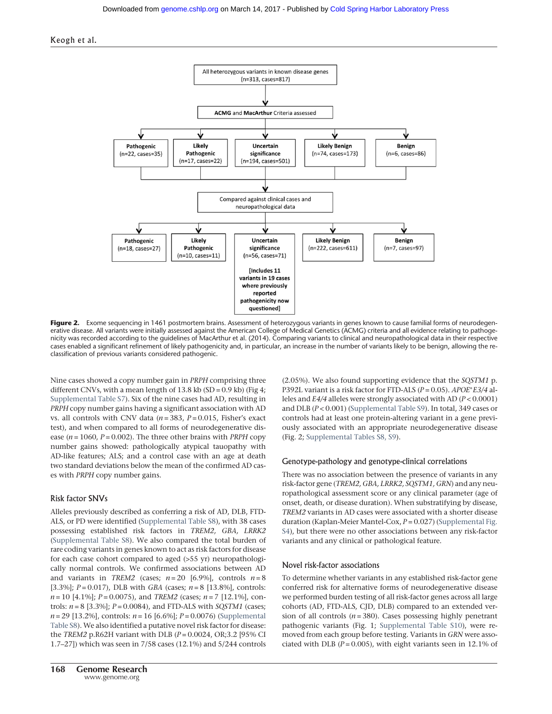



Figure 2. Exome sequencing in 1461 postmortem brains. Assessment of heterozygous variants in genes known to cause familial forms of neurodegenerative disease. All variants were initially assessed against the American College of Medical Genetics (ACMG) criteria and all evidence relating to pathogenicity was recorded according to the guidelines of MacArthur et al. (2014). Comparing variants to clinical and neuropathological data in their respective cases enabled a significant refinement of likely pathogenicity and, in particular, an increase in the number of variants likely to be benign, allowing the reclassification of previous variants considered pathogenic.

Nine cases showed a copy number gain in PRPH comprising three different CNVs, with a mean length of  $13.8 \text{ kb}$  (SD = 0.9 kb) (Fig 4; [Supplemental Table S7\)](http://genome.cshlp.org/lookup/suppl/doi:10.1101/gr.210609.116/-/DC1). Six of the nine cases had AD, resulting in PRPH copy number gains having a significant association with AD vs. all controls with CNV data  $(n = 383, P = 0.015,$  Fisher's exact test), and when compared to all forms of neurodegenerative disease ( $n = 1060$ ,  $P = 0.002$ ). The three other brains with *PRPH* copy number gains showed: pathologically atypical tauopathy with AD-like features; ALS; and a control case with an age at death two standard deviations below the mean of the confirmed AD cases with PRPH copy number gains.

#### Risk factor SNVs

Alleles previously described as conferring a risk of AD, DLB, FTD-ALS, or PD were identified [\(Supplemental Table S8](http://genome.cshlp.org/lookup/suppl/doi:10.1101/gr.210609.116/-/DC1)), with 38 cases possessing established risk factors in TREM2, GBA, LRRK2 ([Supplemental Table S8\)](http://genome.cshlp.org/lookup/suppl/doi:10.1101/gr.210609.116/-/DC1). We also compared the total burden of rare coding variants in genes known to act as risk factors for disease for each case cohort compared to aged (>55 yr) neuropathologically normal controls. We confirmed associations between AD and variants in TREM2 (cases;  $n = 20$  [6.9%], controls  $n = 8$ [3.3%];  $P = 0.017$ ), DLB with GBA (cases;  $n = 8$  [13.8%], controls:  $n = 10$  [4.1%];  $P = 0.0075$ ), and TREM2 (cases;  $n = 7$  [12.1%], controls:  $n = 8$  [3.3%];  $P = 0.0084$ ), and FTD-ALS with SQSTM1 (cases;  $n = 29$  [13.2%], controls:  $n = 16$  [6.6%];  $P = 0.0076$ ) [\(Supplemental](http://genome.cshlp.org/lookup/suppl/doi:10.1101/gr.210609.116/-/DC1) [Table S8\)](http://genome.cshlp.org/lookup/suppl/doi:10.1101/gr.210609.116/-/DC1). We also identified a putative novel risk factor for disease: the TREM2 p.R62H variant with DLB ( $P = 0.0024$ , OR;3.2 [95% CI 1.7–27]) which was seen in 7/58 cases (12.1%) and 5/244 controls (2.05%). We also found supporting evidence that the SQSTM1 p. P392L variant is a risk factor for FTD-ALS ( $P = 0.05$ ). APOE\*E3/4 alleles and  $E4/4$  alleles were strongly associated with AD ( $P < 0.0001$ ) and DLB ( $P < 0.001$ ) ([Supplemental Table S9](http://genome.cshlp.org/lookup/suppl/doi:10.1101/gr.210609.116/-/DC1)). In total, 349 cases or controls had at least one protein-altering variant in a gene previously associated with an appropriate neurodegenerative disease (Fig. 2; [Supplemental Tables S8, S9\)](http://genome.cshlp.org/lookup/suppl/doi:10.1101/gr.210609.116/-/DC1).

#### Genotype-pathology and genotype-clinical correlations

There was no association between the presence of variants in any risk-factor gene (TREM2, GBA, LRRK2, SQSTM1, GRN) and any neuropathological assessment score or any clinical parameter (age of onset, death, or disease duration). When substratifying by disease, TREM2 variants in AD cases were associated with a shorter disease duration (Kaplan-Meier Mantel-Cox,  $P = 0.027$ ) ([Supplemental Fig.](http://genome.cshlp.org/lookup/suppl/doi:10.1101/gr.210609.116/-/DC1) [S4\)](http://genome.cshlp.org/lookup/suppl/doi:10.1101/gr.210609.116/-/DC1), but there were no other associations between any risk-factor variants and any clinical or pathological feature.

#### Novel risk-factor associations

To determine whether variants in any established risk-factor gene conferred risk for alternative forms of neurodegenerative disease we performed burden testing of all risk-factor genes across all large cohorts (AD, FTD-ALS, CJD, DLB) compared to an extended version of all controls  $(n = 380)$ . Cases possessing highly penetrant pathogenic variants (Fig. 1; [Supplemental Table S10\)](http://genome.cshlp.org/lookup/suppl/doi:10.1101/gr.210609.116/-/DC1), were removed from each group before testing. Variants in GRN were associated with DLB ( $P = 0.005$ ), with eight variants seen in 12.1% of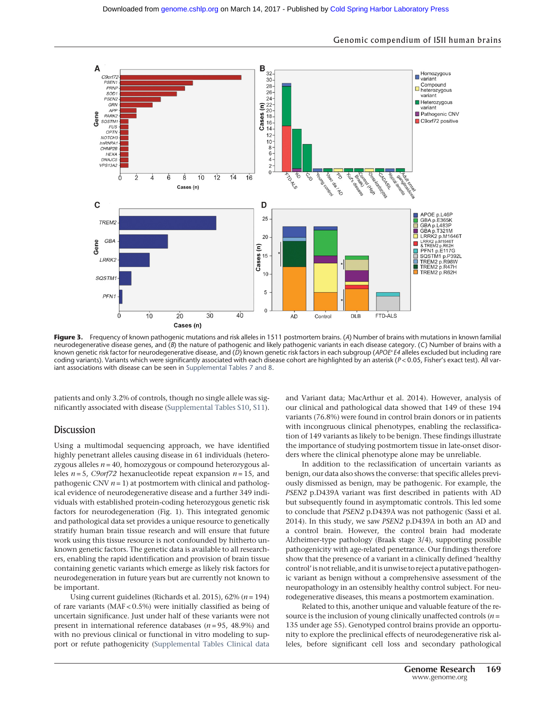

Figure 3. Frequency of known pathogenic mutations and risk alleles in 1511 postmortem brains. (A) Number of brains with mutations in known familial neurodegenerative disease genes, and (B) the nature of pathogenic and likely pathogenic variants in each disease category. (C) Number of brains with a known genetic risk factor for neurodegenerative disease, and (D) known genetic risk factors in each subgroup (APOE<sup>∗</sup>E4 alleles excluded but including rare coding variants). Variants which were significantly associated with each disease cohort are highlighted by an asterisk (P<0.05, Fisher's exact test). All variant associations with disease can be seen in [Supplemental Tables 7 and 8.](http://genome.cshlp.org/lookup/suppl/doi:10.1101/gr.210609.116/-/DC1)

patients and only 3.2% of controls, though no single allele was significantly associated with disease ([Supplemental Tables S10,](http://genome.cshlp.org/lookup/suppl/doi:10.1101/gr.210609.116/-/DC1) [S11](http://genome.cshlp.org/lookup/suppl/doi:10.1101/gr.210609.116/-/DC1)).

#### Discussion

Using a multimodal sequencing approach, we have identified highly penetrant alleles causing disease in 61 individuals (heterozygous alleles  $n = 40$ , homozygous or compound heterozygous alleles  $n = 5$ , C9orf72 hexanucleotide repeat expansion  $n = 15$ , and pathogenic CNV  $n = 1$ ) at postmortem with clinical and pathological evidence of neurodegenerative disease and a further 349 individuals with established protein-coding heterozygous genetic risk factors for neurodegeneration (Fig. 1). This integrated genomic and pathological data set provides a unique resource to genetically stratify human brain tissue research and will ensure that future work using this tissue resource is not confounded by hitherto unknown genetic factors. The genetic data is available to all researchers, enabling the rapid identification and provision of brain tissue containing genetic variants which emerge as likely risk factors for neurodegeneration in future years but are currently not known to be important.

Using current guidelines (Richards et al. 2015),  $62\%$  ( $n = 194$ ) of rare variants (MAF < 0.5%) were initially classified as being of uncertain significance. Just under half of these variants were not present in international reference databases ( $n = 95$ , 48.9%) and with no previous clinical or functional in vitro modeling to support or refute pathogenicity [\(Supplemental Tables Clinical data](http://genome.cshlp.org/lookup/suppl/doi:10.1101/gr.210609.116/-/DC1)

and Variant data; MacArthur et al. 2014). However, analysis of our clinical and pathological data showed that 149 of these 194 variants (76.8%) were found in control brain donors or in patients with incongruous clinical phenotypes, enabling the reclassification of 149 variants as likely to be benign. These findings illustrate the importance of studying postmortem tissue in late-onset disorders where the clinical phenotype alone may be unreliable.

In addition to the reclassification of uncertain variants as benign, our data also shows the converse: that specific alleles previously dismissed as benign, may be pathogenic. For example, the PSEN2 p.D439A variant was first described in patients with AD but subsequently found in asymptomatic controls. This led some to conclude that PSEN2 p.D439A was not pathogenic (Sassi et al. 2014). In this study, we saw PSEN2 p.D439A in both an AD and a control brain. However, the control brain had moderate Alzheimer-type pathology (Braak stage 3/4), supporting possible pathogenicity with age-related penetrance. Our findings therefore show that the presence of a variant in a clinically defined 'healthy control'is not reliable, and it is unwise to reject a putative pathogenic variant as benign without a comprehensive assessment of the neuropathology in an ostensibly healthy control subject. For neurodegenerative diseases, this means a postmortem examination.

Related to this, another unique and valuable feature of the resource is the inclusion of young clinically unaffected controls  $(n =$ 135 under age 55). Genotyped control brains provide an opportunity to explore the preclinical effects of neurodegenerative risk alleles, before significant cell loss and secondary pathological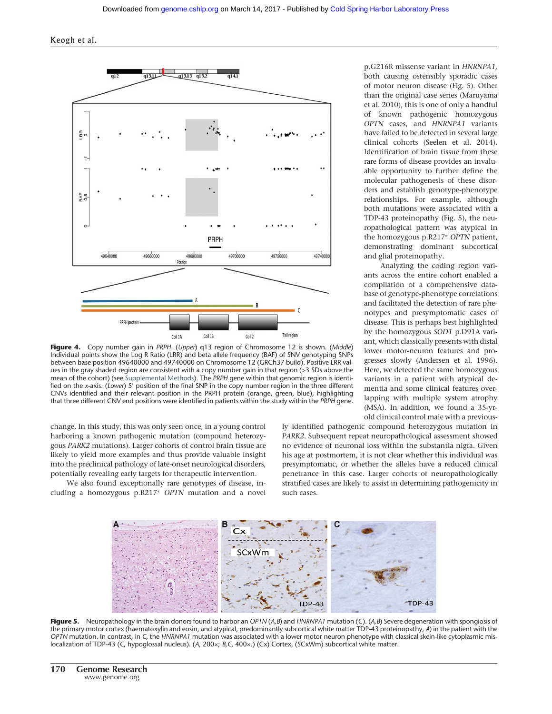Keogh et al.



Figure 4. Copy number gain in PRPH. (Upper) q13 region of Chromosome 12 is shown. (Middle) Individual points show the Log R Ratio (LRR) and beta allele frequency (BAF) of SNV genotyping SNPs between base position 49640000 and 49740000 on Chromosome 12 (GRCh37 build). Positive LRR values in the gray shaded region are consistent with a copy number gain in that region (>3 SDs above the mean of the cohort) (see [Supplemental Methods](http://genome.cshlp.org/lookup/suppl/doi:10.1101/gr.210609.116/-/DC1)). The PRPH gene within that genomic region is identified on the x-axis. (Lower) 5' position of the final SNP in the copy number region in the three different CNVs identified and their relevant position in the PRPH protein (orange, green, blue), highlighting that three different CNV end positions were identified in patients within the study within the PRPH gene.

change. In this study, this was only seen once, in a young control harboring a known pathogenic mutation (compound heterozygous PARK2 mutations). Larger cohorts of control brain tissue are likely to yield more examples and thus provide valuable insight into the preclinical pathology of late-onset neurological disorders, potentially revealing early targets for therapeutic intervention.

We also found exceptionally rare genotypes of disease, including a homozygous p.R217<sup>∗</sup> OPTN mutation and a novel p.G216R missense variant in HNRNPA1, both causing ostensibly sporadic cases of motor neuron disease (Fig. 5). Other than the original case series (Maruyama et al. 2010), this is one of only a handful of known pathogenic homozygous OPTN cases, and HNRNPA1 variants have failed to be detected in several large clinical cohorts (Seelen et al. 2014). Identification of brain tissue from these rare forms of disease provides an invaluable opportunity to further define the molecular pathogenesis of these disorders and establish genotype-phenotype relationships. For example, although both mutations were associated with a TDP-43 proteinopathy (Fig. 5), the neuropathological pattern was atypical in the homozygous p.R217<sup>∗</sup> OPTN patient, demonstrating dominant subcortical and glial proteinopathy.

Analyzing the coding region variants across the entire cohort enabled a compilation of a comprehensive database of genotype-phenotype correlations and facilitated the detection of rare phenotypes and presymptomatic cases of disease. This is perhaps best highlighted by the homozygous SOD1 p.D91A variant, which classically presents with distal lower motor-neuron features and progresses slowly (Andersen et al. 1996). Here, we detected the same homozygous variants in a patient with atypical dementia and some clinical features overlapping with multiple system atrophy (MSA). In addition, we found a 35-yrold clinical control male with a previous-

ly identified pathogenic compound heterozygous mutation in PARK2. Subsequent repeat neuropathological assessment showed no evidence of neuronal loss within the substantia nigra. Given his age at postmortem, it is not clear whether this individual was presymptomatic, or whether the alleles have a reduced clinical penetrance in this case. Larger cohorts of neuropathologically stratified cases are likely to assist in determining pathogenicity in such cases.



Figure 5. Neuropathology in the brain donors found to harbor an OPTN  $(A, B)$  and HNRNPA1 mutation (C).  $(A, B)$  Severe degeneration with spongiosis of the primary motor cortex (haematoxylin and eosin, and atypical, predominantly subcortical white matter TDP-43 proteinopathy, A) in the patient with the OPTN mutation. In contrast, in C, the HNRNPA1 mutation was associated with a lower motor neuron phenotype with classical skein-like cytoplasmic mislocalization of TDP-43 (C, hypoglossal nucleus). (A, 200×; B,C, 400×.) (Cx) Cortex, (SCxWm) subcortical white matter.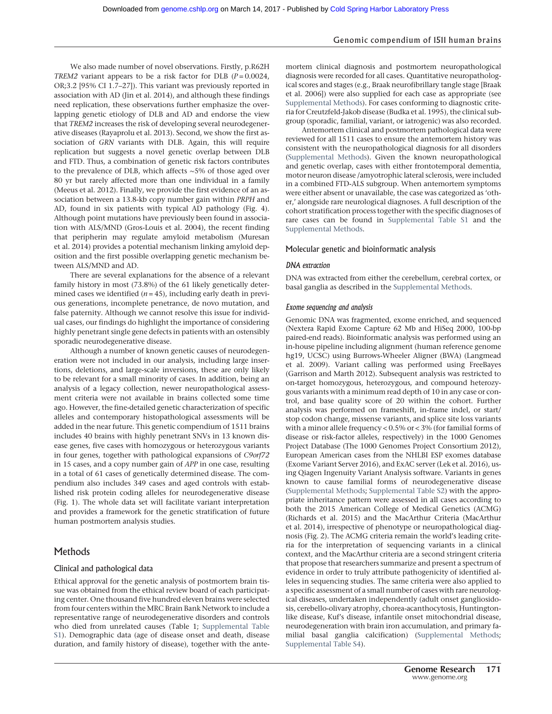# Genomic compendium of 1511 human brains

We also made number of novel observations. Firstly, p.R62H TREM2 variant appears to be a risk factor for DLB  $(P = 0.0024,$ OR;3.2 [95% CI 1.7–27]). This variant was previously reported in association with AD (Jin et al. 2014), and although these findings need replication, these observations further emphasize the overlapping genetic etiology of DLB and AD and endorse the view that TREM2 increases the risk of developing several neurodegenerative diseases (Rayaprolu et al. 2013). Second, we show the first association of GRN variants with DLB. Again, this will require replication but suggests a novel genetic overlap between DLB and FTD. Thus, a combination of genetic risk factors contributes to the prevalence of DLB, which affects ∼5% of those aged over 80 yr but rarely affected more than one individual in a family (Meeus et al. 2012). Finally, we provide the first evidence of an association between a 13.8-kb copy number gain within PRPH and AD, found in six patients with typical AD pathology (Fig. 4). Although point mutations have previously been found in association with ALS/MND (Gros-Louis et al. 2004), the recent finding that peripherin may regulate amyloid metabolism (Muresan et al. 2014) provides a potential mechanism linking amyloid deposition and the first possible overlapping genetic mechanism between ALS/MND and AD.

There are several explanations for the absence of a relevant family history in most (73.8%) of the 61 likely genetically determined cases we identified  $(n = 45)$ , including early death in previous generations, incomplete penetrance, de novo mutation, and false paternity. Although we cannot resolve this issue for individual cases, our findings do highlight the importance of considering highly penetrant single gene defects in patients with an ostensibly sporadic neurodegenerative disease.

Although a number of known genetic causes of neurodegeneration were not included in our analysis, including large insertions, deletions, and large-scale inversions, these are only likely to be relevant for a small minority of cases. In addition, being an analysis of a legacy collection, newer neuropathological assessment criteria were not available in brains collected some time ago. However, the fine-detailed genetic characterization of specific alleles and contemporary histopathological assessments will be added in the near future. This genetic compendium of 1511 brains includes 40 brains with highly penetrant SNVs in 13 known disease genes, five cases with homozygous or heterozygous variants in four genes, together with pathological expansions of C9orf72 in 15 cases, and a copy number gain of APP in one case, resulting in a total of 61 cases of genetically determined disease. The compendium also includes 349 cases and aged controls with established risk protein coding alleles for neurodegenerative disease (Fig. 1). The whole data set will facilitate variant interpretation and provides a framework for the genetic stratification of future human postmortem analysis studies.

# Methods

# Clinical and pathological data

Ethical approval for the genetic analysis of postmortem brain tissue was obtained from the ethical review board of each participating center. One thousand five hundred eleven brains were selected from four centers within the MRC Brain Bank Network to include a representative range of neurodegenerative disorders and controls who died from unrelated causes (Table 1; [Supplemental Table](http://genome.cshlp.org/lookup/suppl/doi:10.1101/gr.210609.116/-/DC1) [S1\)](http://genome.cshlp.org/lookup/suppl/doi:10.1101/gr.210609.116/-/DC1). Demographic data (age of disease onset and death, disease duration, and family history of disease), together with the antemortem clinical diagnosis and postmortem neuropathological diagnosis were recorded for all cases. Quantitative neuropathological scores and stages (e.g., Braak neurofibrillary tangle stage [Braak et al. 2006]) were also supplied for each case as appropriate (see [Supplemental Methods](http://genome.cshlp.org/lookup/suppl/doi:10.1101/gr.210609.116/-/DC1)). For cases conforming to diagnostic criteria for Creutzfeld-Jakob disease (Budka et al. 1995), the clinical subgroup (sporadic, familial, variant, or iatrogenic) was also recorded.

Antemortem clinical and postmortem pathological data were reviewed for all 1511 cases to ensure the antemortem history was consistent with the neuropathological diagnosis for all disorders ([Supplemental Methods\)](http://genome.cshlp.org/lookup/suppl/doi:10.1101/gr.210609.116/-/DC1). Given the known neuropathological and genetic overlap, cases with either frontotemporal dementia, motor neuron disease /amyotrophic lateral sclerosis, were included in a combined FTD-ALS subgroup. When antemortem symptoms were either absent or unavailable, the case was categorized as 'other,' alongside rare neurological diagnoses. A full description of the cohort stratification process together with the specific diagnoses of rare cases can be found in [Supplemental Table S1](http://genome.cshlp.org/lookup/suppl/doi:10.1101/gr.210609.116/-/DC1) and the [Supplemental Methods](http://genome.cshlp.org/lookup/suppl/doi:10.1101/gr.210609.116/-/DC1).

#### Molecular genetic and bioinformatic analysis

#### DNA extraction

DNA was extracted from either the cerebellum, cerebral cortex, or basal ganglia as described in the [Supplemental Methods.](http://genome.cshlp.org/lookup/suppl/doi:10.1101/gr.210609.116/-/DC1)

#### Exome sequencing and analysis

Genomic DNA was fragmented, exome enriched, and sequenced (Nextera Rapid Exome Capture 62 Mb and HiSeq 2000, 100-bp paired-end reads). Bioinformatic analysis was performed using an in-house pipeline including alignment (human reference genome hg19, UCSC) using Burrows-Wheeler Aligner (BWA) (Langmead et al. 2009). Variant calling was performed using FreeBayes (Garrison and Marth 2012). Subsequent analysis was restricted to on-target homozygous, heterozygous, and compound heterozygous variants with a minimum read depth of 10 in any case or control, and base quality score of 20 within the cohort. Further analysis was performed on frameshift, in-frame indel, or start/ stop codon change, missense variants, and splice site loss variants with a minor allele frequency < 0.5% or < 3% (for familial forms of disease or risk-factor alleles, respectively) in the 1000 Genomes Project Database (The 1000 Genomes Project Consortium 2012), European American cases from the NHLBI ESP exomes database (Exome Variant Server 2016), and ExAC server (Lek et al. 2016), using Qiagen Ingenuity Variant Analysis software. Variants in genes known to cause familial forms of neurodegenerative disease ([Supplemental Methods](http://genome.cshlp.org/lookup/suppl/doi:10.1101/gr.210609.116/-/DC1); [Supplemental Table S2](http://genome.cshlp.org/lookup/suppl/doi:10.1101/gr.210609.116/-/DC1)) with the appropriate inheritance pattern were assessed in all cases according to both the 2015 American College of Medical Genetics (ACMG) (Richards et al. 2015) and the MacArthur Criteria (MacArthur et al. 2014), irrespective of phenotype or neuropathological diagnosis (Fig. 2). The ACMG criteria remain the world's leading criteria for the interpretation of sequencing variants in a clinical context, and the MacArthur criteria are a second stringent criteria that propose that researchers summarize and present a spectrum of evidence in order to truly attribute pathogenicity of identified alleles in sequencing studies. The same criteria were also applied to a specific assessment of a small number of cases with rare neurological diseases, undertaken independently (adult onset gangliosidosis, cerebello-olivary atrophy, chorea-acanthocytosis, Huntingtonlike disease, Kuf's disease, infantile onset mitochondrial disease, neurodegeneration with brain iron accumulation, and primary familial basal ganglia calcification) [\(Supplemental Methods;](http://genome.cshlp.org/lookup/suppl/doi:10.1101/gr.210609.116/-/DC1) [Supplemental Table S4](http://genome.cshlp.org/lookup/suppl/doi:10.1101/gr.210609.116/-/DC1)).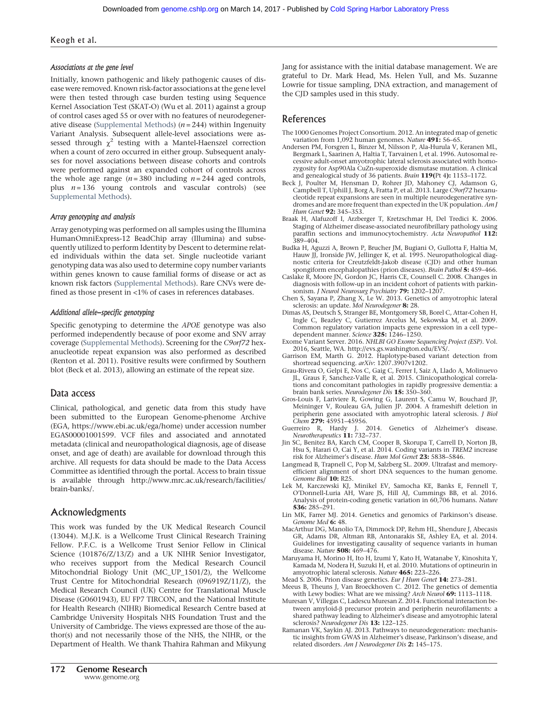#### Keogh et al.

#### Associations at the gene level

Initially, known pathogenic and likely pathogenic causes of disease were removed. Known risk-factor associations at the gene level were then tested through case burden testing using Sequence Kernel Association Test (SKAT-O) (Wu et al. 2011) against a group of control cases aged 55 or over with no features of neurodegener-ative disease ([Supplemental Methods](http://genome.cshlp.org/lookup/suppl/doi:10.1101/gr.210609.116/-/DC1))  $(n = 244)$  within Ingenuity Variant Analysis. Subsequent allele-level associations were assessed through  $\chi^2$  testing with a Mantel-Haenszel correction when a count of zero occurred in either group. Subsequent analyses for novel associations between disease cohorts and controls were performed against an expanded cohort of controls across the whole age range  $(n = 380$  including  $n = 244$  aged controls, plus  $n = 136$  young controls and vascular controls) (see [Supplemental Methods](http://genome.cshlp.org/lookup/suppl/doi:10.1101/gr.210609.116/-/DC1)).

#### Array genotyping and analysis

Array genotyping was performed on all samples using the Illumina HumanOmniExpress-12 BeadChip array (Illumina) and subsequently utilized to perform Identity by Descent to determine related individuals within the data set. Single nucleotide variant genotyping data was also used to determine copy number variants within genes known to cause familial forms of disease or act as known risk factors [\(Supplemental Methods\)](http://genome.cshlp.org/lookup/suppl/doi:10.1101/gr.210609.116/-/DC1). Rare CNVs were defined as those present in <1% of cases in references databases.

#### Additional allele-specific genotyping

Specific genotyping to determine the APOE genotype was also performed independently because of poor exome and SNV array coverage [\(Supplemental Methods](http://genome.cshlp.org/lookup/suppl/doi:10.1101/gr.210609.116/-/DC1)). Screening for the C9orf72 hexanucleotide repeat expansion was also performed as described (Renton et al. 2011). Positive results were confirmed by Southern blot (Beck et al. 2013), allowing an estimate of the repeat size.

# Data access

Clinical, pathological, and genetic data from this study have been submitted to the European Genome-phenome Archive (EGA,<https://www.ebi.ac.uk/ega/home>) under accession number EGAS00001001599. VCF files and associated and annotated metadata (clinical and neuropathological diagnosis, age of disease onset, and age of death) are available for download through this archive. All requests for data should be made to the Data Access Committee as identified through the portal. Access to brain tissue is available through [http://www.mrc.ac.uk/research/facilities/](http://www.mrc.ac.uk/research/facilities/brain-banks/) [brain-banks/](http://www.mrc.ac.uk/research/facilities/brain-banks/).

# Acknowledgments

This work was funded by the UK Medical Research Council (13044). M.J.K. is a Wellcome Trust Clinical Research Training Fellow. P.F.C. is a Wellcome Trust Senior Fellow in Clinical Science (101876/Z/13/Z) and a UK NIHR Senior Investigator, who receives support from the Medical Research Council Mitochondrial Biology Unit (MC\_UP\_1501/2), the Wellcome Trust Centre for Mitochondrial Research (096919Z/11/Z), the Medical Research Council (UK) Centre for Translational Muscle Disease (G0601943), EU FP7 TIRCON, and the National Institute for Health Research (NIHR) Biomedical Research Centre based at Cambridge University Hospitals NHS Foundation Trust and the University of Cambridge. The views expressed are those of the author(s) and not necessarily those of the NHS, the NIHR, or the Department of Health. We thank Thahira Rahman and Mikyung

# References

- The 1000 Genomes Project Consortium. 2012. An integrated map of genetic variation from 1,092 human genomes. Nature  $491:56-65$ .
- Andersen PM, Forsgren L, Binzer M, Nilsson P, Ala-Hurula V, Keranen ML, Bergmark L, Saarinen A, Haltia T, Tarvainen I, et al. 1996. Autosomal recessive adult-onset amyotrophic lateral sclerosis associated with homozygosity for Asp90Ala CuZn-superoxide dismutase mutation. A clinical and genealogical study of 36 patients. Brain 119(Pt 4): 1153–1172.
- Beck J, Poulter M, Hensman D, Rohrer JD, Mahoney CJ, Adamson G, Campbell T, Uphill J, Borg A, Fratta P, et al. 2013. Large C9orf72 hexanucleotide repeat expansions are seen in multiple neurodegenerative syndromes and are more frequent than expected in the UK population. Am J Hum Genet 92: 345–353.
- Braak H, Alafuzoff I, Arzberger T, Kretzschmar H, Del Tredici K. 2006. Staging of Alzheimer disease-associated neurofibrillary pathology using paraffin sections and immunocytochemistry. Acta Neuropathol 112:  $389 - 404$ .
- Budka H, Aguzzi A, Brown P, Brucher JM, Bugiani O, Gullotta F, Haltia M, Hauw JJ, Ironside JW, Jellinger K, et al. 1995. Neuropathological diagnostic criteria for Creutzfeldt-Jakob disease (CJD) and other human spongiform encephalopathies (prion diseases). Brain Pathol 5: 459–466.
- Caslake R, Moore JN, Gordon JC, Harris CE, Counsell C. 2008. Changes in diagnosis with follow-up in an incident cohort of patients with parkinsonism. J Neurol Neurosurg Psychiatry 79: 1202-1207.
- Chen S, Sayana P, Zhang X, Le W. 2013. Genetics of amyotrophic lateral sclerosis: an update. *Mol Neurodegener* **8:** 28.
- Dimas AS, Deutsch S, Stranger BE, Montgomery SB, Borel C, Attar-Cohen H, Ingle C, Beazley C, Gutierrez Arcelus M, Sekowska M, et al. 2009. Common regulatory variation impacts gene expression in a cell type– dependent manner. Science 325: 1246–1250.
- Exome Variant Server. 2016. NHLBI GO Exome Sequencing Project (ESP). Vol. 2016, Seattle, WA. [http://evs.gs.washington.edu/EVS/.](http://evs.gs.washington.edu/EVS/)
- Garrison EM, Marth G. 2012. Haplotype-based variant detection from shortread sequencing. arXiv: 1207.3907v1202.
- Grau-Rivera O, Gelpi E, Nos C, Gaig C, Ferrer I, Saiz A, Llado A, Molinuevo JL, Graus F, Sanchez-Valle R, et al. 2015. Clinicopathological correlations and concomitant pathologies in rapidly progressive dementia: a brain bank series. Neurodegener Dis 15: 350-360.
- Gros-Louis F, Lariviere R, Gowing G, Laurent S, Camu W, Bouchard JP, Meininger V, Rouleau GA, Julien JP. 2004. A frameshift deletion in peripherin gene associated with amyotrophic lateral sclerosis. J Biol Chem 279: 45951–45956.
- Guerreiro R, Hardy J. 2014. Genetics of Alzheimer's disease. Neurotherapeutics 11: 732–737.
- Jin SC, Benitez BA, Karch CM, Cooper B, Skorupa T, Carrell D, Norton JB, Hsu S, Harari O, Cai Y, et al. 2014. Coding variants in TREM2 increase risk for Alzheimer's disease. Hum Mol Genet 23: 5838–5846.
- Langmead B, Trapnell C, Pop M, Salzberg SL. 2009. Ultrafast and memoryefficient alignment of short DNA sequences to the human genome. Genome Biol 10: R25.
- Lek M, Karczewski KJ, Minikel EV, Samocha KE, Banks E, Fennell T, O'Donnell-Luria AH, Ware JS, Hill AJ, Cummings BB, et al. 2016. Analysis of protein-coding genetic variation in 60,706 humans. Nature 536: 285–291.
- Lin MK, Farrer MJ. 2014. Genetics and genomics of Parkinson's disease. Genome Med 6: 48.
- MacArthur DG, Manolio TA, Dimmock DP, Rehm HL, Shendure J, Abecasis GR, Adams DR, Altman RB, Antonarakis SE, Ashley EA, et al. 2014. Guidelines for investigating causality of sequence variants in human disease. Nature 508: 469–476.
- Maruyama H, Morino H, Ito H, Izumi Y, Kato H, Watanabe Y, Kinoshita Y, Kamada M, Nodera H, Suzuki H, et al. 2010. Mutations of optineurin in amyotrophic lateral sclerosis. Nature 465: 223–226.
- Mead S. 2006. Prion disease genetics. Eur J Hum Genet 14: 273-281.
- Meeus B, Theuns J, Van Broeckhoven C. 2012. The genetics of dementia with Lewy bodies: What are we missing? Arch Neurol 69: 1113-1118.
- Muresan V, Villegas C, Ladescu Muresan Z. 2014. Functional interaction between amyloid-β precursor protein and peripherin neurofilaments: a shared pathway leading to Alzheimer's disease and amyotrophic lateral sclerosis? Neurodegener Dis 13: 122-125.
- Ramanan VK, Saykin AJ. 2013. Pathways to neurodegeneration: mechanistic insights from GWAS in Alzheimer's disease, Parkinson's disease, and related disorders. Am J Neurodegener Dis 2: 145–175.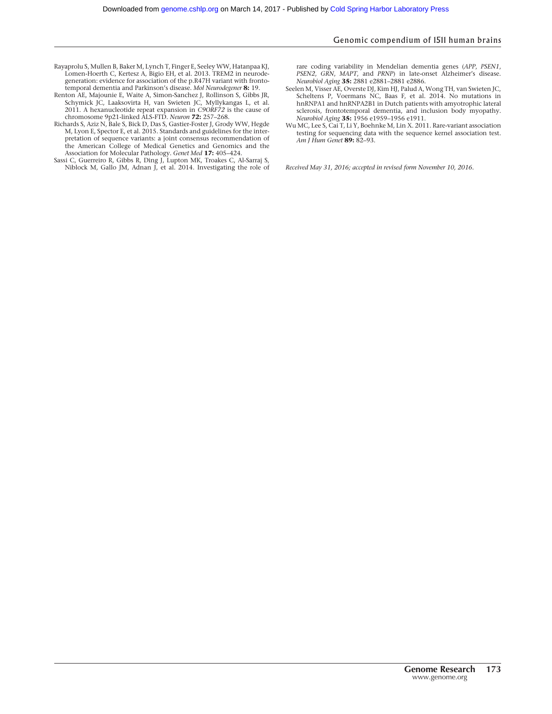#### Genomic compendium of 1511 human brains

- Rayaprolu S, Mullen B, Baker M, Lynch T, Finger E, SeeleyWW, Hatanpaa KJ, Lomen-Hoerth C, Kertesz A, Bigio EH, et al. 2013. TREM2 in neurodegeneration: evidence for association of the p.R47H variant with frontotemporal dementia and Parkinson's disease. Mol Neurodegener 8: 19.
- Renton AE, Majounie E, Waite A, Simon-Sanchez J, Rollinson S, Gibbs JR, Schymick JC, Laaksovirta H, van Swieten JC, Myllykangas L, et al. 2011. A hexanucleotide repeat expansion in *C9ORF72* is the cause of chromosome 9p21-linked ALS-FTD. *Neuron* **72:** 257–268.
- Richards S, Aziz N, Bale S, Bick D, Das S, Gastier-Foster J, Grody WW, Hegde M, Lyon E, Spector E, et al. 2015. Standards and guidelines for the interpretation of sequence variants: a joint consensus recommendation of the American College of Medical Genetics and Genomics and the
- Association for Molecular Pathology. Genet Med 17: 405–424. Sassi C, Guerreiro R, Gibbs R, Ding J, Lupton MK, Troakes C, Al-Sarraj S, Niblock M, Gallo JM, Adnan J, et al. 2014. Investigating the role of

rare coding variability in Mendelian dementia genes (APP, PSEN1, PSEN2, GRN, MAPT, and PRNP) in late-onset Alzheimer's disease. Neurobiol Aging 35: 2881 e2881–2881 e2886.

- Seelen M, Visser AE, Overste DJ, Kim HJ, Palud A, Wong TH, van Swieten JC, Scheltens P, Voermans NC, Baas F, et al. 2014. No mutations in hnRNPA1 and hnRNPA2B1 in Dutch patients with amyotrophic lateral sclerosis, frontotemporal dementia, and inclusion body myopathy. Neurobiol Aging 35: 1956 e1959-1956 e1911.
- Wu MC, Lee S, Cai T, Li Y, Boehnke M, Lin X. 2011. Rare-variant association testing for sequencing data with the sequence kernel association test. Am J Hum Genet 89: 82-93.

Received May 31, 2016; accepted in revised form November 10, 2016.